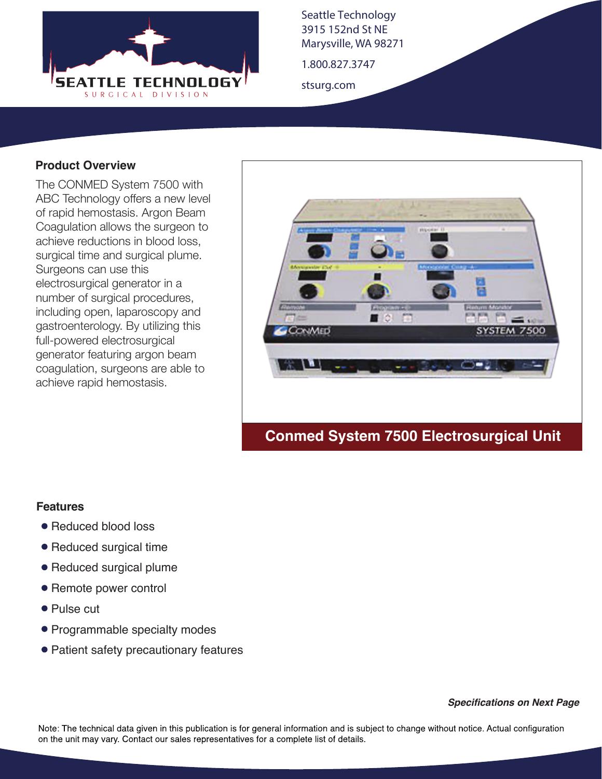

Seattle Technology 3915 152nd St NE Marysville, WA 98271

1.800.827.3747

stsurg.com

### **Product Overview**

The CONMED System 7500 with ABC Technology offers a new level of rapid hemostasis. Argon Beam Coagulation allows the surgeon to achieve reductions in blood loss, surgical time and surgical plume. Surgeons can use this electrosurgical generator in a number of surgical procedures, including open, laparoscopy and gastroenterology. By utilizing this full-powered electrosurgical generator featuring argon beam coagulation, surgeons are able to achieve rapid hemostasis.



## **Conmed System 7500 Electrosurgical Unit**

#### **Features**

- Reduced blood loss
- Reduced surgical time
- Reduced surgical plume
- Remote power control
- Pulse cut
- Programmable specialty modes
- Patient safety precautionary features

*Specifications on Next Page*

Note: The technical data given in this publication is for general information and is subject to change without notice. Actual configuration on the unit may vary. Contact our sales representatives for a complete list of details.